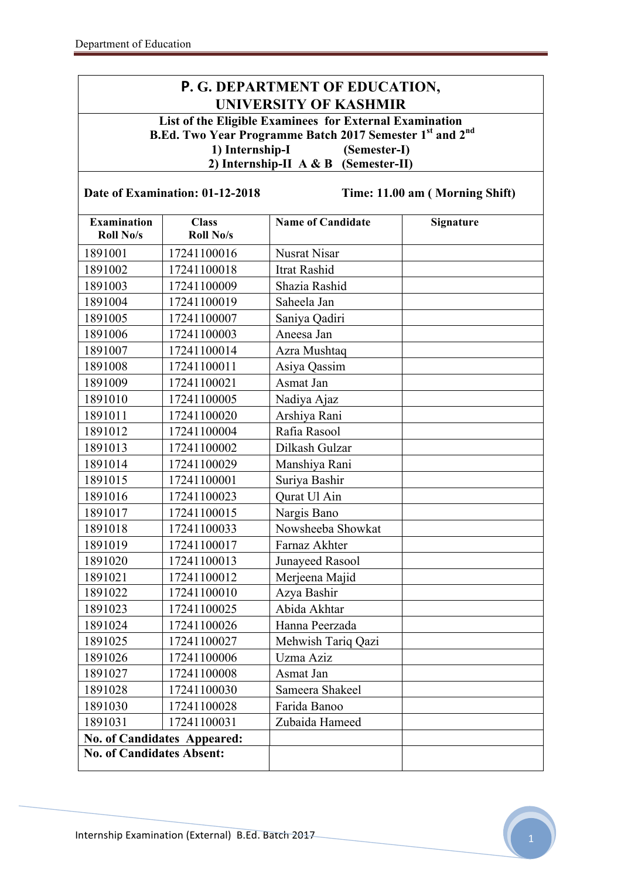## **P. G. DEPARTMENT OF EDUCATION, UNIVERSITY OF KASHMIR**

**List of the Eligible Examinees for External Examination B.Ed. Two Year Programme Batch 2017 Semester 1st and 2nd 1) Internship-I (Semester-I) 2) Internship-II A & B (Semester-II)**

| Date of Examination: 01-12-2018        |                                    | Time: 11.00 am (Morning Shift) |           |
|----------------------------------------|------------------------------------|--------------------------------|-----------|
| <b>Examination</b><br><b>Roll No/s</b> | <b>Class</b><br><b>Roll No/s</b>   | <b>Name of Candidate</b>       | Signature |
| 1891001                                | 17241100016                        | <b>Nusrat Nisar</b>            |           |
| 1891002                                | 17241100018                        | Itrat Rashid                   |           |
| 1891003                                | 17241100009                        | Shazia Rashid                  |           |
| 1891004                                | 17241100019                        | Saheela Jan                    |           |
| 1891005                                | 17241100007                        | Saniya Qadiri                  |           |
| 1891006                                | 17241100003                        | Aneesa Jan                     |           |
| 1891007                                | 17241100014                        | Azra Mushtaq                   |           |
| 1891008                                | 17241100011                        | Asiya Qassim                   |           |
| 1891009                                | 17241100021                        | Asmat Jan                      |           |
| 1891010                                | 17241100005                        | Nadiya Ajaz                    |           |
| 1891011                                | 17241100020                        | Arshiya Rani                   |           |
| 1891012                                | 17241100004                        | Rafia Rasool                   |           |
| 1891013                                | 17241100002                        | Dilkash Gulzar                 |           |
| 1891014                                | 17241100029                        | Manshiya Rani                  |           |
| 1891015                                | 17241100001                        | Suriya Bashir                  |           |
| 1891016                                | 17241100023                        | Qurat Ul Ain                   |           |
| 1891017                                | 17241100015                        | Nargis Bano                    |           |
| 1891018                                | 17241100033                        | Nowsheeba Showkat              |           |
| 1891019                                | 17241100017                        | Farnaz Akhter                  |           |
| 1891020                                | 17241100013                        | Junayeed Rasool                |           |
| 1891021                                | 17241100012                        | Merjeena Majid                 |           |
| 1891022                                | 17241100010                        | Azya Bashir                    |           |
| 1891023                                | 17241100025                        | Abida Akhtar                   |           |
| 1891024                                | 17241100026                        | Hanna Peerzada                 |           |
| 1891025                                | 17241100027                        | Mehwish Tariq Qazi             |           |
| 1891026                                | 17241100006                        | Uzma Aziz                      |           |
| 1891027                                | 17241100008                        | Asmat Jan                      |           |
| 1891028                                | 17241100030                        | Sameera Shakeel                |           |
| 1891030                                | 17241100028                        | Farida Banoo                   |           |
| 1891031                                | 17241100031                        | Zubaida Hameed                 |           |
|                                        | <b>No. of Candidates Appeared:</b> |                                |           |
| <b>No. of Candidates Absent:</b>       |                                    |                                |           |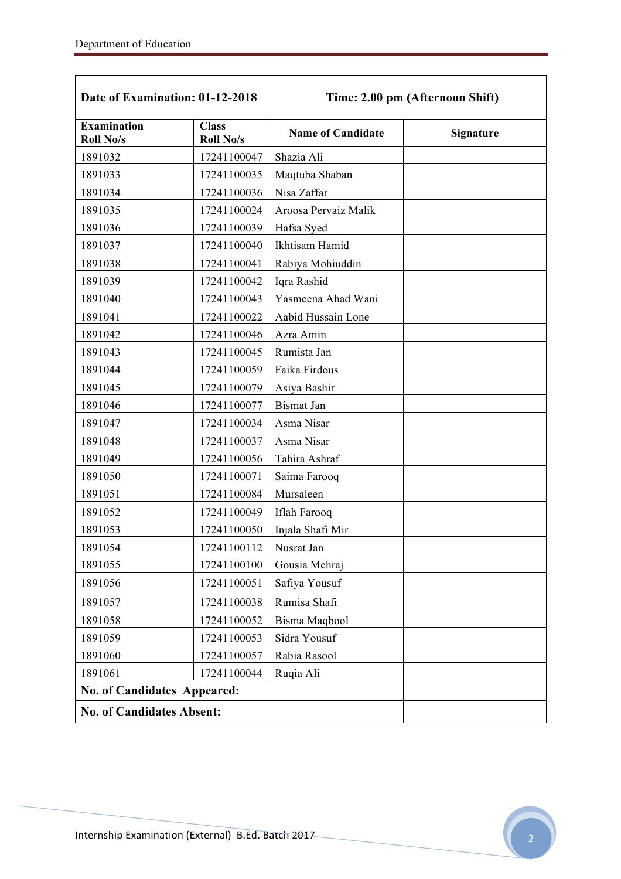$\mathbf{r}$ 

| Date of Examination: 01-12-2018        |                                  | Time: 2.00 pm (Afternoon Shift) |                  |
|----------------------------------------|----------------------------------|---------------------------------|------------------|
| <b>Examination</b><br><b>Roll No/s</b> | <b>Class</b><br><b>Roll No/s</b> | <b>Name of Candidate</b>        | <b>Signature</b> |
| 1891032                                | 17241100047                      | Shazia Ali                      |                  |
| 1891033                                | 17241100035                      | Maqtuba Shaban                  |                  |
| 1891034                                | 17241100036                      | Nisa Zaffar                     |                  |
| 1891035                                | 17241100024                      | Aroosa Pervaiz Malik            |                  |
| 1891036                                | 17241100039                      | Hafsa Syed                      |                  |
| 1891037                                | 17241100040                      | Ikhtisam Hamid                  |                  |
| 1891038                                | 17241100041                      | Rabiya Mohiuddin                |                  |
| 1891039                                | 17241100042                      | Iqra Rashid                     |                  |
| 1891040                                | 17241100043                      | Yasmeena Ahad Wani              |                  |
| 1891041                                | 17241100022                      | Aabid Hussain Lone              |                  |
| 1891042                                | 17241100046                      | Azra Amin                       |                  |
| 1891043                                | 17241100045                      | Rumista Jan                     |                  |
| 1891044                                | 17241100059                      | Faika Firdous                   |                  |
| 1891045                                | 17241100079                      | Asiya Bashir                    |                  |
| 1891046                                | 17241100077                      | <b>Bismat Jan</b>               |                  |
| 1891047                                | 17241100034                      | Asma Nisar                      |                  |
| 1891048                                | 17241100037                      | Asma Nisar                      |                  |
| 1891049                                | 17241100056                      | Tahira Ashraf                   |                  |
| 1891050                                | 17241100071                      | Saima Farooq                    |                  |
| 1891051                                | 17241100084                      | Mursaleen                       |                  |
| 1891052                                | 17241100049                      | <b>Iflah Farooq</b>             |                  |
| 1891053                                | 17241100050                      | Injala Shafi Mir                |                  |
| 1891054                                | 17241100112                      | Nusrat Jan                      |                  |
| 1891055                                | 17241100100                      | Gousia Mehraj                   |                  |
| 1891056                                | 17241100051                      | Safiya Yousuf                   |                  |
| 1891057                                | 17241100038                      | Rumisa Shafi                    |                  |
| 1891058                                | 17241100052                      | Bisma Maqbool                   |                  |
| 1891059                                | 17241100053                      | Sidra Yousuf                    |                  |
| 1891060                                | 17241100057                      | Rabia Rasool                    |                  |
| 1891061                                | 17241100044                      | Ruqia Ali                       |                  |
| <b>No. of Candidates Appeared:</b>     |                                  |                                 |                  |
| <b>No. of Candidates Absent:</b>       |                                  |                                 |                  |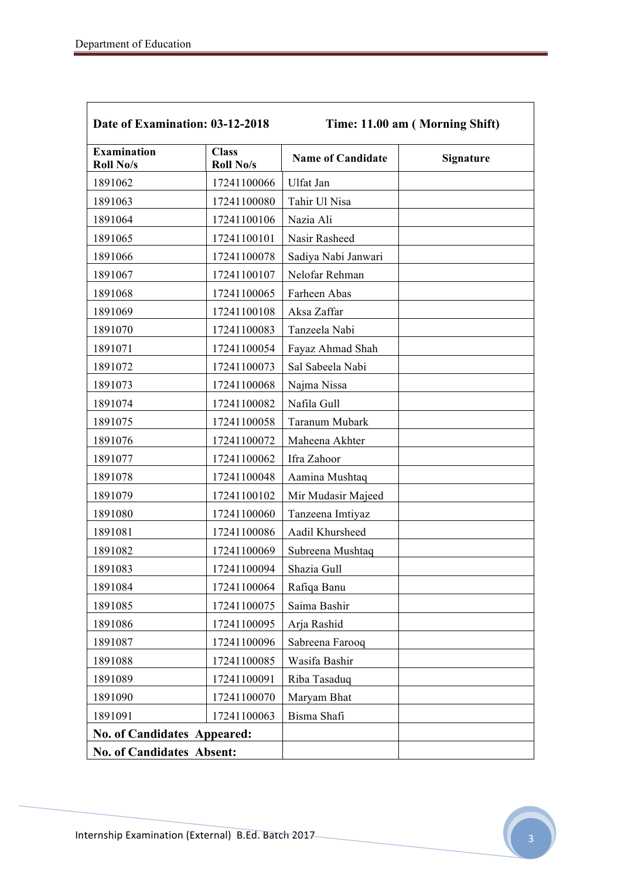| Date of Examination: 03-12-2018        |                                  | Time: 11.00 am (Morning Shift) |                  |
|----------------------------------------|----------------------------------|--------------------------------|------------------|
| <b>Examination</b><br><b>Roll No/s</b> | <b>Class</b><br><b>Roll No/s</b> | <b>Name of Candidate</b>       | <b>Signature</b> |
| 1891062                                | 17241100066                      | Ulfat Jan                      |                  |
| 1891063                                | 17241100080                      | Tahir Ul Nisa                  |                  |
| 1891064                                | 17241100106                      | Nazia Ali                      |                  |
| 1891065                                | 17241100101                      | Nasir Rasheed                  |                  |
| 1891066                                | 17241100078                      | Sadiya Nabi Janwari            |                  |
| 1891067                                | 17241100107                      | Nelofar Rehman                 |                  |
| 1891068                                | 17241100065                      | Farheen Abas                   |                  |
| 1891069                                | 17241100108                      | Aksa Zaffar                    |                  |
| 1891070                                | 17241100083                      | Tanzeela Nabi                  |                  |
| 1891071                                | 17241100054                      | Fayaz Ahmad Shah               |                  |
| 1891072                                | 17241100073                      | Sal Sabeela Nabi               |                  |
| 1891073                                | 17241100068                      | Najma Nissa                    |                  |
| 1891074                                | 17241100082                      | Nafila Gull                    |                  |
| 1891075                                | 17241100058                      | Taranum Mubark                 |                  |
| 1891076                                | 17241100072                      | Maheena Akhter                 |                  |
| 1891077                                | 17241100062                      | Ifra Zahoor                    |                  |
| 1891078                                | 17241100048                      | Aamina Mushtaq                 |                  |
| 1891079                                | 17241100102                      | Mir Mudasir Majeed             |                  |
| 1891080                                | 17241100060                      | Tanzeena Imtiyaz               |                  |
| 1891081                                | 17241100086                      | Aadil Khursheed                |                  |
| 1891082                                | 17241100069                      | Subreena Mushtaq               |                  |
| 1891083                                | 17241100094                      | Shazia Gull                    |                  |
| 1891084                                | 17241100064                      | Rafiqa Banu                    |                  |
| 1891085                                | 17241100075                      | Saima Bashir                   |                  |
| 1891086                                | 17241100095                      | Arja Rashid                    |                  |
| 1891087                                | 17241100096                      | Sabreena Farooq                |                  |
| 1891088                                | 17241100085                      | Wasifa Bashir                  |                  |
| 1891089                                | 17241100091                      | Riba Tasaduq                   |                  |
| 1891090                                | 17241100070                      | Maryam Bhat                    |                  |
| 1891091                                | 17241100063                      | Bisma Shafi                    |                  |
| <b>No. of Candidates Appeared:</b>     |                                  |                                |                  |
| <b>No. of Candidates Absent:</b>       |                                  |                                |                  |